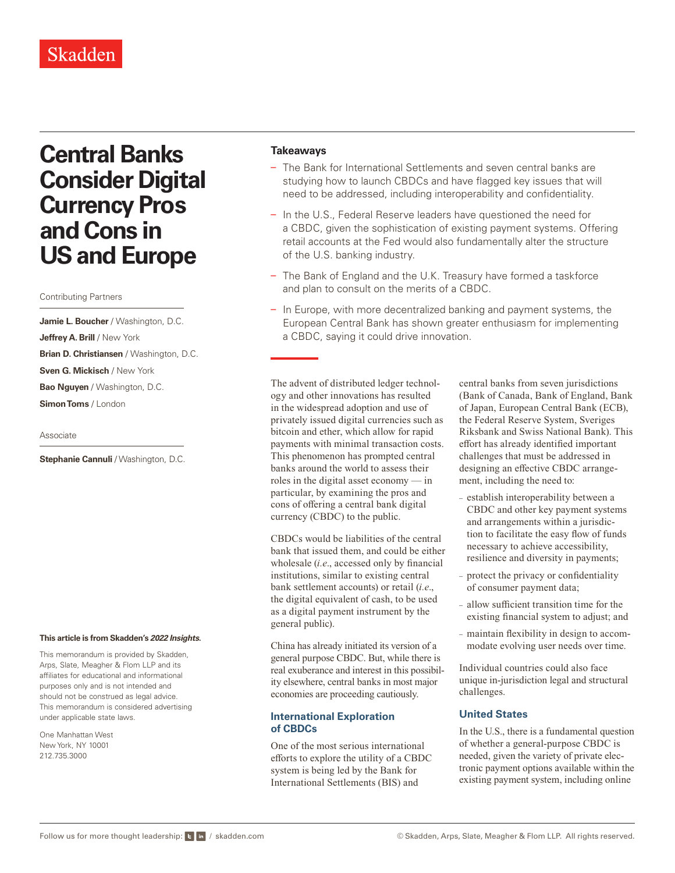# Skadden

# **Central Banks Consider Digital Currency Pros and Cons in US and Europe**

#### Contributing Partners

**Jamie L. Boucher** / Washington, D.C. **Jeffrey A. Brill** / New York **Brian D. Christiansen** / Washington, D.C. **Sven G. Mickisch** / New York **Bao Nguyen** / Washington, D.C. **Simon Toms** / London

#### Associate

**Stephanie Cannuli / Washington, D.C.** 

#### **This article is from Skadden's** *[2022 Insights](https://www.skadden.com/insights/publications/2022/01/2022-insights/2022-insights)***.**

This memorandum is provided by Skadden, Arps, Slate, Meagher & Flom LLP and its affiliates for educational and informational purposes only and is not intended and should not be construed as legal advice. This memorandum is considered advertising under applicable state laws.

One Manhattan West New York, NY 10001 212.735.3000

#### **Takeaways**

- The Bank for International Settlements and seven central banks are studying how to launch CBDCs and have flagged key issues that will need to be addressed, including interoperability and confidentiality.
- In the U.S., Federal Reserve leaders have questioned the need for a CBDC, given the sophistication of existing payment systems. Offering retail accounts at the Fed would also fundamentally alter the structure of the U.S. banking industry.
- The Bank of England and the U.K. Treasury have formed a taskforce and plan to consult on the merits of a CBDC.
- In Europe, with more decentralized banking and payment systems, the European Central Bank has shown greater enthusiasm for implementing a CBDC, saying it could drive innovation.

The advent of distributed ledger technology and other innovations has resulted in the widespread adoption and use of privately issued digital currencies such as bitcoin and ether, which allow for rapid payments with minimal transaction costs. This phenomenon has prompted central banks around the world to assess their roles in the digital asset economy — in particular, by examining the pros and cons of offering a central bank digital currency (CBDC) to the public.

CBDCs would be liabilities of the central bank that issued them, and could be either wholesale (*i.e*., accessed only by financial institutions, similar to existing central bank settlement accounts) or retail (*i.e*., the digital equivalent of cash, to be used as a digital payment instrument by the general public).

China has already initiated its version of a general purpose CBDC. But, while there is real exuberance and interest in this possibility elsewhere, central banks in most major economies are proceeding cautiously.

### **International Exploration of CBDCs**

One of the most serious international efforts to explore the utility of a CBDC system is being led by the Bank for International Settlements (BIS) and

central banks from seven jurisdictions (Bank of Canada, Bank of England, Bank of Japan, European Central Bank (ECB), the Federal Reserve System, Sveriges Riksbank and Swiss National Bank). This effort has already identified important challenges that must be addressed in designing an effective CBDC arrangement, including the need to:

- establish interoperability between a CBDC and other key payment systems and arrangements within a jurisdiction to facilitate the easy flow of funds necessary to achieve accessibility, resilience and diversity in payments;
- protect the privacy or confidentiality of consumer payment data;
- allow sufficient transition time for the existing financial system to adjust; and
- maintain flexibility in design to accommodate evolving user needs over time.

Individual countries could also face unique in-jurisdiction legal and structural challenges.

#### **United States**

In the U.S., there is a fundamental question of whether a general-purpose CBDC is needed, given the variety of private electronic payment options available within the existing payment system, including online